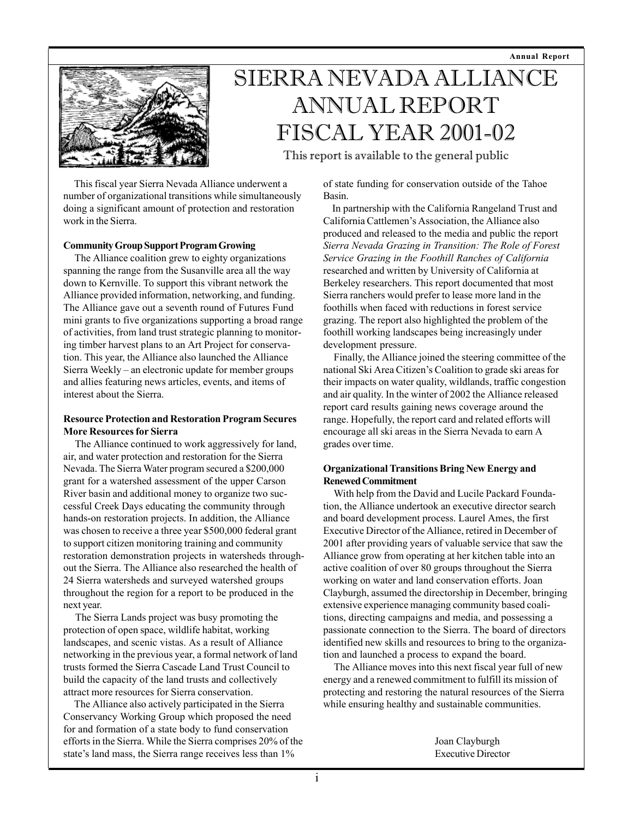**Annual Report**



# SIERRA NEVADA ALLIANCE ANNUAL REPORT FISCAL YEAR 2001-02

This report is available to the general public

 This fiscal year Sierra Nevada Alliance underwent a number of organizational transitions while simultaneously doing a significant amount of protection and restoration work in the Sierra.

#### **Community Group Support Program Growing**

 The Alliance coalition grew to eighty organizations spanning the range from the Susanville area all the way down to Kernville. To support this vibrant network the Alliance provided information, networking, and funding. The Alliance gave out a seventh round of Futures Fund mini grants to five organizations supporting a broad range of activities, from land trust strategic planning to monitoring timber harvest plans to an Art Project for conservation. This year, the Alliance also launched the Alliance Sierra Weekly – an electronic update for member groups and allies featuring news articles, events, and items of interest about the Sierra.

### **Resource Protection and Restoration Program Secures More Resources for Sierra**

 The Alliance continued to work aggressively for land, air, and water protection and restoration for the Sierra Nevada. The Sierra Water program secured a \$200,000 grant for a watershed assessment of the upper Carson River basin and additional money to organize two successful Creek Days educating the community through hands-on restoration projects. In addition, the Alliance was chosen to receive a three year \$500,000 federal grant to support citizen monitoring training and community restoration demonstration projects in watersheds throughout the Sierra. The Alliance also researched the health of 24 Sierra watersheds and surveyed watershed groups throughout the region for a report to be produced in the next year.

 The Sierra Lands project was busy promoting the protection of open space, wildlife habitat, working landscapes, and scenic vistas. As a result of Alliance networking in the previous year, a formal network of land trusts formed the Sierra Cascade Land Trust Council to build the capacity of the land trusts and collectively attract more resources for Sierra conservation.

 The Alliance also actively participated in the Sierra Conservancy Working Group which proposed the need for and formation of a state body to fund conservation efforts in the Sierra. While the Sierra comprises 20% of the state's land mass, the Sierra range receives less than 1%

of state funding for conservation outside of the Tahoe Basin.

 In partnership with the California Rangeland Trust and California Cattlemen's Association, the Alliance also produced and released to the media and public the report *Sierra Nevada Grazing in Transition: The Role of Forest Service Grazing in the Foothill Ranches of California* researched and written by University of California at Berkeley researchers. This report documented that most Sierra ranchers would prefer to lease more land in the foothills when faced with reductions in forest service grazing. The report also highlighted the problem of the foothill working landscapes being increasingly under development pressure.

 Finally, the Alliance joined the steering committee of the national Ski Area Citizen's Coalition to grade ski areas for their impacts on water quality, wildlands, traffic congestion and air quality. In the winter of 2002 the Alliance released report card results gaining news coverage around the range. Hopefully, the report card and related efforts will encourage all ski areas in the Sierra Nevada to earn A grades over time.

## **Organizational Transitions Bring New Energy and Renewed Commitment**

 With help from the David and Lucile Packard Foundation, the Alliance undertook an executive director search and board development process. Laurel Ames, the first Executive Director of the Alliance, retired in December of 2001 after providing years of valuable service that saw the Alliance grow from operating at her kitchen table into an active coalition of over 80 groups throughout the Sierra working on water and land conservation efforts. Joan Clayburgh, assumed the directorship in December, bringing extensive experience managing community based coalitions, directing campaigns and media, and possessing a passionate connection to the Sierra. The board of directors identified new skills and resources to bring to the organization and launched a process to expand the board.

 The Alliance moves into this next fiscal year full of new energy and a renewed commitment to fulfill its mission of protecting and restoring the natural resources of the Sierra while ensuring healthy and sustainable communities.

> Joan Clayburgh Executive Director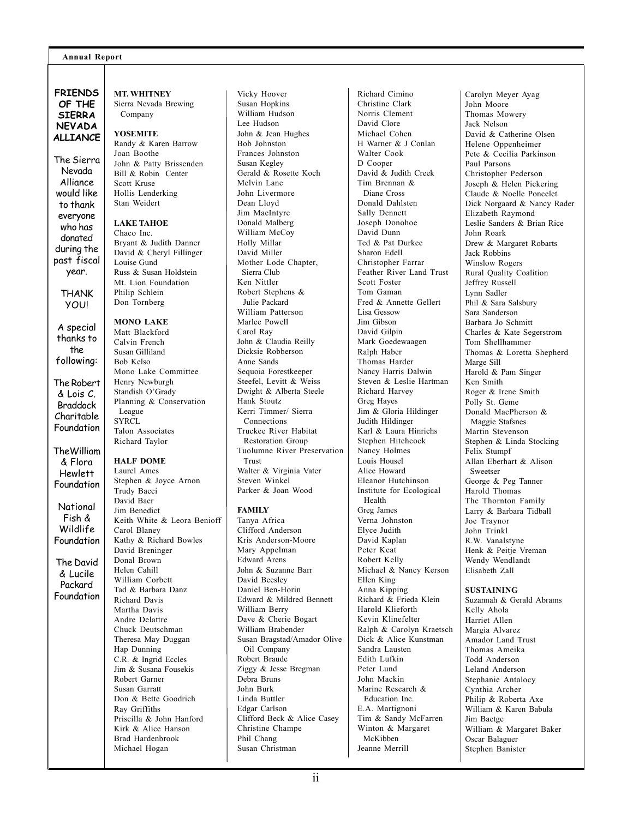#### **Annual Report**

**FRIENDS OF THE SIERRA NEVADA ALLIANCE**

The Sierra Nevada Alliance would like to thank everyone who has donated during the past fiscal year.

> THANK YOU!

A special thanks to the following:

The Robert & Lois C. Braddock Charitable Foundation

TheWilliam & Flora Hewlett Foundation

National Fish & Wildlife Foundation

The David & Lucile Packard Foundation **MT. WHITNEY** Sierra Nevada Brewing Company

## **YOSEMITE**

Randy & Karen Barrow Joan Boothe John & Patty Brissenden Bill & Robin Center Scott Kruse Hollis Lenderking Stan Weidert

#### **LAKE TAHOE**

Chaco Inc. Bryant & Judith Danner David & Cheryl Fillinger Louise Gund Russ & Susan Holdstein Mt. Lion Foundation Philip Schlein Don Tornberg

#### **MONO LAKE**

Matt Blackford Calvin French Susan Gilliland Bob Kelso Mono Lake Committee Henry Newburgh Standish O'Grady Planning & Conservation League **SYRCL** Talon Associates Richard Taylor

#### **HALF DOME**

Laurel Ames Stephen & Joyce Arnon Trudy Bacci David Baer Jim Benedict Keith White & Leora Benioff Carol Blaney Kathy & Richard Bowles David Breninger Donal Brown Helen Cahill William Corbett Tad & Barbara Danz Richard Davis Martha Davis Andre Delattre Chuck Deutschman Theresa May Duggan Hap Dunning C.R. & Ingrid Eccles Jim & Susana Fousekis Robert Garner Susan Garratt Don & Bette Goodrich Ray Griffiths Priscilla & John Hanford Kirk & Alice Hanson Brad Hardenbrook Michael Hogan

Vicky Hoover Susan Hopkins William Hudson Lee Hudson John & Jean Hughes Bob Johnston Frances Johnston Susan Kegley Gerald & Rosette Koch Melvin Lane John Livermore Dean Lloyd Jim MacIntyre Donald Malberg William McCoy Holly Millar David Miller Mother Lode Chapter, Sierra Club Ken Nittler Robert Stephens & Julie Packard William Patterson Marlee Powell Carol Ray John & Claudia Reilly Dicksie Robberson Anne Sands Sequoia Forestkeeper Steefel, Levitt & Weiss Dwight & Alberta Steele Hank Stoutz Kerri Timmer/ Sierra Connections Truckee River Habitat Restoration Group Tuolumne River Preservation Trust Walter & Virginia Vater Steven Winkel Parker & Joan Wood

#### **FAMILY**

Tanya Africa Clifford Anderson Kris Anderson-Moore Mary Appelman Edward Arens John & Suzanne Barr David Beesley Daniel Ben-Horin Edward & Mildred Bennett William Berry Dave & Cherie Bogart William Brabender Susan Bragstad/Amador Olive Oil Company Robert Braude Ziggy & Jesse Bregman Debra Bruns John Burk Linda Buttler Edgar Carlson Clifford Beck & Alice Casey Christine Champe Phil Chang Susan Christman

Richard Cimino Christine Clark Norris Clement David Clore Michael Cohen H Warner & J Conlan Walter Cook D Cooper David & Judith Creek Tim Brennan & Diane Cross Donald Dahlsten Sally Dennett Joseph Donohoe David Dunn Ted & Pat Durkee Sharon Edell Christopher Farrar Feather River Land Trust Scott Foster Tom Gaman Fred & Annette Gellert Lisa Gessow Jim Gibson David Gilpin Mark Goedewaagen Ralph Haber Thomas Harder Nancy Harris Dalwin Steven & Leslie Hartman Richard Harvey Greg Hayes Jim & Gloria Hildinger Judith Hildinger Karl & Laura Hinrichs Stephen Hitchcock Nancy Holmes Louis Housel Alice Howard Eleanor Hutchinson Institute for Ecological Health Greg James Verna Johnston Elyce Judith David Kaplan Peter Keat Robert Kelly Michael & Nancy Kerson Ellen King Anna Kipping Richard & Frieda Klein Harold Klieforth Kevin Klinefelter Ralph & Carolyn Kraetsch Dick & Alice Kunstman Sandra Lausten Edith Lufkin Peter Lund John Mackin Marine Research & Education Inc. E.A. Martignoni Tim & Sandy McFarren Winton & Margaret McKibben

Carolyn Meyer Ayag John Moore Thomas Mowery Jack Nelson David & Catherine Olsen Helene Oppenheimer Pete & Cecilia Parkinson Paul Parsons Christopher Pederson Joseph & Helen Pickering Claude & Noelle Poncelet Dick Norgaard & Nancy Rader Elizabeth Raymond Leslie Sanders & Brian Rice John Roark Drew & Margaret Robarts Jack Robbins Winslow Rogers Rural Quality Coalition Jeffrey Russell Lynn Sadler Phil & Sara Salsbury Sara Sanderson Barbara Jo Schmitt Charles & Kate Segerstrom Tom Shellhammer Thomas & Loretta Shepherd Marge Sill Harold & Pam Singer Ken Smith Roger & Irene Smith Polly St. Geme Donald MacPherson & Maggie Stafsnes Martin Stevenson Stephen & Linda Stocking Felix Stumpf Allan Eberhart & Alison Sweetser George & Peg Tanner Harold Thomas The Thornton Family Larry & Barbara Tidball Joe Traynor John Trinkl R.W. Vanalstyne Henk & Peitje Vreman Wendy Wendlandt Elisabeth Zall

#### **SUSTAINING**

Suzannah & Gerald Abrams Kelly Ahola Harriet Allen Margia Alvarez Amador Land Trust Thomas Ameika Todd Anderson Leland Anderson Stephanie Antalocy Cynthia Archer Philip & Roberta Axe William & Karen Babula Jim Baetge William & Margaret Baker Oscar Balaguer Stephen Banister

Jeanne Merrill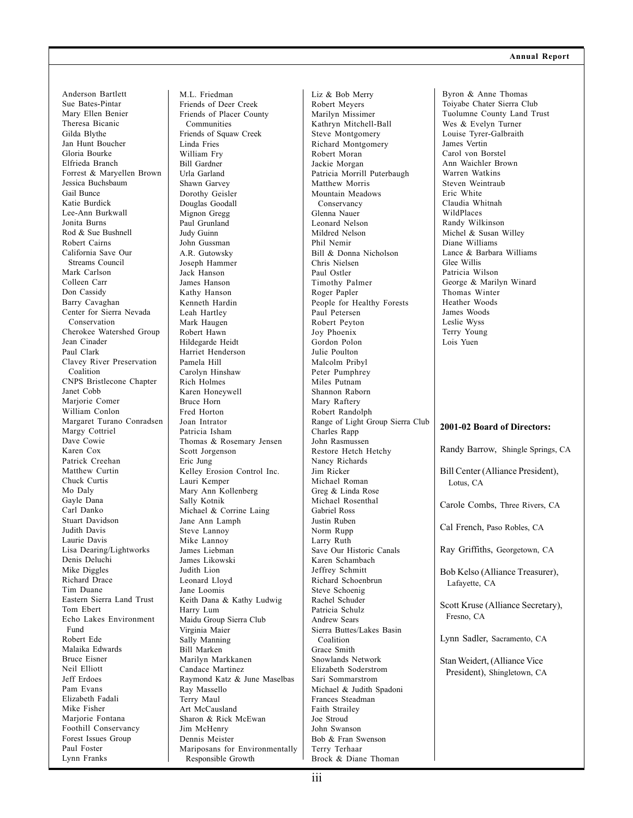Anderson Bartlett Sue Bates-Pintar Mary Ellen Benier Theresa Bicanic Gilda Blythe Jan Hunt Boucher Gloria Bourke Elfrieda Branch Forrest & Maryellen Brown Jessica Buchsbaum Gail Bunce Katie Burdick Lee-Ann Burkwall Jonita Burns Rod & Sue Bushnell Robert Cairns California Save Our Streams Council Mark Carlson Colleen Carr Don Cassidy Barry Cavaghan Center for Sierra Nevada Conservation Cherokee Watershed Group Jean Cinader Paul Clark Clavey River Preservation Coalition CNPS Bristlecone Chapter Janet Cobb Marjorie Comer William Conlon Margaret Turano Conradsen Margy Cottriel Dave Cowie Karen Cox Patrick Creehan Matthew Curtin Chuck Curtis Mo Daly Gayle Dana Carl Danko Stuart Davidson Judith Davis Laurie Davis Lisa Dearing/Lightworks Denis Deluchi Mike Diggles Richard Drace Tim Duane Eastern Sierra Land Trust Tom Ebert Echo Lakes Environment Fund Robert Ede Malaika Edwards Bruce Eisner Neil Elliott Jeff Erdoes Pam Evans Elizabeth Fadali Mike Fisher Marjorie Fontana Foothill Conservancy Forest Issues Group Paul Foster Lynn Franks

M.L. Friedman Friends of Deer Creek Friends of Placer County Communities Friends of Squaw Creek Linda Fries William Fry Bill Gardner Urla Garland Shawn Garvey Dorothy Geisler Douglas Goodall Mignon Gregg Paul Grunland Judy Guinn John Gussman A.R. Gutowsky Joseph Hammer Jack Hanson James Hanson Kathy Hanson Kenneth Hardin Leah Hartley Mark Haugen Robert Hawn Hildegarde Heidt Harriet Henderson Pamela Hill Carolyn Hinshaw Rich Holmes Karen Honeywell Bruce Horn Fred Horton Joan Intrator Patricia Isham Thomas & Rosemary Jensen Scott Jorgenson Eric Jung Kelley Erosion Control Inc. Lauri Kemper Mary Ann Kollenberg Sally Kotnik Michael & Corrine Laing Jane Ann Lamph Steve Lannoy Mike Lannoy James Liebman James Likowski Judith Lion Leonard Lloyd Jane Loomis Keith Dana & Kathy Ludwig Harry Lum Maidu Group Sierra Club Virginia Maier Sally Manning Bill Marken Marilyn Markkanen Candace Martinez Raymond Katz & June Maselbas Ray Massello Terry Maul Art McCausland Sharon & Rick McEwan Jim McHenry Dennis Meister Mariposans for Environmentally Responsible Growth

Liz & Bob Merry Robert Meyers Marilyn Missimer Kathryn Mitchell-Ball Steve Montgomery Richard Montgomery Robert Moran Jackie Morgan Patricia Morrill Puterbaugh Matthew Morris Mountain Meadows Conservancy Glenna Nauer Leonard Nelson Mildred Nelson Phil Nemir Bill & Donna Nicholson Chris Nielsen Paul Ostler Timothy Palmer Roger Papler People for Healthy Forests Paul Petersen Robert Peyton Joy Phoenix Gordon Polon Julie Poulton Malcolm Pribyl Peter Pumphrey Miles Putnam Shannon Raborn Mary Raftery Robert Randolph Range of Light Group Sierra Club Charles Rapp John Rasmussen Restore Hetch Hetchy Nancy Richards Jim Ricker Michael Roman Greg & Linda Rose Michael Rosenthal Gabriel Ross Justin Ruben Norm Rupp Larry Ruth Save Our Historic Canals Karen Schambach Jeffrey Schmitt Richard Schoenbrun Steve Schoenig Rachel Schuder Patricia Schulz Andrew Sears Sierra Buttes/Lakes Basin Coalition Grace Smith Snowlands Network Elizabeth Soderstrom Sari Sommarstrom Michael & Judith Spadoni Frances Steadman Faith Strailey Joe Stroud John Swanson Bob & Fran Swenson Terry Terhaar Brock & Diane Thoman

**2001-02 Board of Directors:** Randy Barrow, Shingle Springs, CA Bill Center (Alliance President), Lotus, CA Carole Combs, Three Rivers, CA Cal French, Paso Robles, CA Ray Griffiths, Georgetown, CA Bob Kelso (Alliance Treasurer), Lafayette, CA Scott Kruse (Alliance Secretary), Fresno, CA Lynn Sadler, Sacramento, CA Stan Weidert, (Alliance Vice President), Shingletown, CA Byron & Anne Thomas Toiyabe Chater Sierra Club Tuolumne County Land Trust Wes & Evelyn Turner Louise Tyrer-Galbraith James Vertin Carol von Borstel Ann Waichler Brown Warren Watkins Steven Weintraub Eric White Claudia Whitnah WildPlaces Randy Wilkinson Michel & Susan Willey Diane Williams Lance & Barbara Williams Glee Willis Patricia Wilson George & Marilyn Winard Thomas Winter Heather Woods James Woods Leslie Wyss Terry Young Lois Yuen